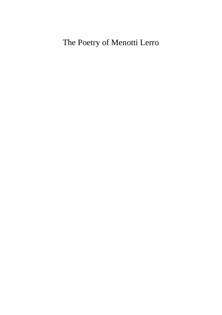# The Poetry of Menotti Lerro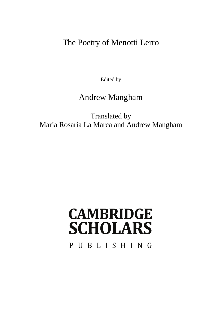## The Poetry of Menotti Lerro

Edited by

## Andrew Mangham

Translated by Maria Rosaria La Marca and Andrew Mangham

# **CAMBRIDGE SCHOLARS**

PUBLISHING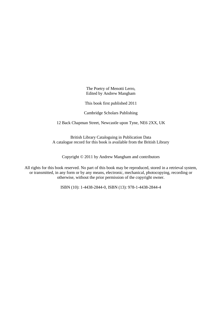The Poetry of Menotti Lerro, Edited by Andrew Mangham

This book first published 2011

Cambridge Scholars Publishing

12 Back Chapman Street, Newcastle upon Tyne, NE6 2XX, UK

British Library Cataloguing in Publication Data A catalogue record for this book is available from the British Library

Copyright © 2011 by Andrew Mangham and contributors

All rights for this book reserved. No part of this book may be reproduced, stored in a retrieval system, or transmitted, in any form or by any means, electronic, mechanical, photocopying, recording or otherwise, without the prior permission of the copyright owner.

ISBN (10): 1-4438-2844-0, ISBN (13): 978-1-4438-2844-4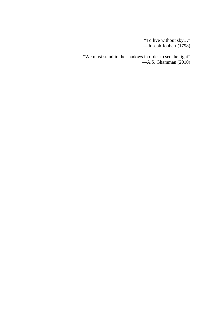"To live without sky…" —Joseph Joubert (1798)

"We must stand in the shadows in order to see the light" —A.S. Ghamman (2010)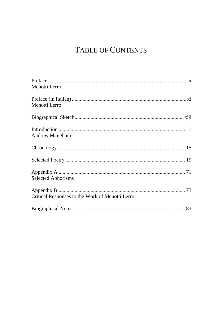## TABLE OF CONTENTS

| Menotti Lerro                                   |
|-------------------------------------------------|
| Menotti Lerro                                   |
|                                                 |
| Andrew Mangham                                  |
|                                                 |
|                                                 |
| Selected Aphorisms                              |
| Critical Responses to the Work of Menotti Lerro |
|                                                 |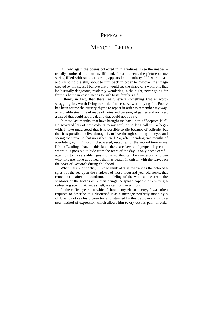## **PREFACE**

## MENOTTI LERRO

If I read again the poems collected in this volume, I see the images – usually confused – about my life and, for a moment, the picture of my spring filled with summer scents, appears in its entirety. If I were dead, and climbing the sky, about to turn back in order to discover the image created by my steps, I believe that I would see the shape of a wolf, one that isn't usually dangerous, restlessly wondering in the night, never going far from its home in case it needs to rush to its family's aid.

I think, in fact, that there really exists something that is worth struggling for, worth living for and, if necessary, worth dying for. Poetry has been for me the nursery rhyme to repeat in order to remember my way, an invisible steel thread made of notes and passion, of games and tortures; a thread that could not break and that could not betray.

In these last months, that have brought me back in this "Sceptred Isle", I discovered lots of new colours to my soul, or so let's call it. To begin with, I have understood that it is possible to die because of solitude, but that it is possible to live through it, to live through shutting the eyes and seeing the universe that nourishes itself. So, after spending two months of absolute grey in Oxford, I discovered, escaping for the second time in my life to Reading, that, in this land, there are lawns of perpetual green – where it is possible to hide from the fears of the day; it only needs careful attention to those sudden gusts of wind that can be dangerous to those who, like me, have got a heart that has beaten in unison with the waves on the coast of Acciaroli during childhood.

When I think of poetry, I like to think of it as follows: as the echo of a splash of the sea upon the shadows of those thousand-year-old rocks, that remember – after the continuous modeling of the wind and water – the shadows of the bodies of human beings. A splash capable of emitting a redeeming scent that, once smelt, we cannot live without.

In these first years in which I bound myself to poetry, I was often required to describe it: I discussed it as a message perfectly made by a child who notices his broken toy and, stunned by this tragic event, finds a new method of expression which allows him to cry out his pain, in order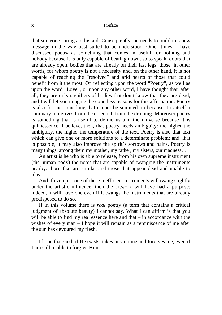#### x Preface

that someone springs to his aid. Consequently, he needs to build this new message in the way best suited to be understood. Other times, I have discussed poetry as something that comes in useful for nothing and nobody because it is only capable of beating down, so to speak, doors that are already open, bodies that are already on their last legs, those, in other words, for whom poetry is not a necessity and, on the other hand, it is not capable of reaching the "resolved" and arid hearts of those that could benefit from it the most. On reflecting upon the word "Poetry", as well as upon the word "Love", or upon any other word, I have thought that, after all, they are only signifiers of bodies that don't know that they are dead, and I will let you imagine the countless reasons for this affirmation. Poetry is also for me something that cannot be summed up because it is itself a summary; it derives from the essential, from the draining. Moreover poetry is something that is useful to define us and the universe because it is quintessence. I believe, then, that poetry needs ambiguity: the higher the ambiguity, the higher the temperature of the text. Poetry is also that text which can give one or more solutions to a determinate problem; and, if it is possible, it may also improve the spirit's sorrows and pains. Poetry is many things, among them my mother, my father, my sisters, our madness…

An artist is he who is able to release, from his own supreme instrument (the human body) the notes that are capable of twanging the instruments nearby: those that are similar and those that appear dead and unable to play.

And if even just one of these inefficient instruments will twang slightly under the artistic influence, then the artwork will have had a purpose; indeed, it will have one even if it twangs the instruments that are already predisposed to do so.

If in this volume there is *real* poetry (a term that contains a critical judgment of absolute beauty) I cannot say. What I can affirm is that you will be able to find my real essence here and that – in accordance with the wishes of every man – I hope it will remain as a reminiscence of me after the sun has devoured my flesh.

I hope that God, if He exists, takes pity on me and forgives me, even if I am still unable to forgive Him.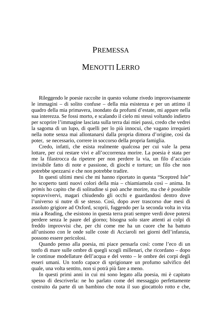### **PREMESSA**

### MENOTTI LERRO

Rileggendo le poesie raccolte in questo volume rivedo improvvisamente le immagini – di solito confuse – della mia esistenza e per un attimo il quadro della mia primavera, inondato da profumi d'estate, mi appare nella sua interezza. Se fossi morto, e scalando il cielo mi stessi voltando indietro per scoprire l'immagine lasciata sulla terra dai miei passi, credo che vedrei la sagoma di un lupo, di quelli per lo più innocui, che vagano irrequieti nella notte senza mai allontanarsi dalla propria dimora d'origine, così da poter, se necessario, correre in soccorso della propria famiglia.

Credo, infatti, che esista realmente qualcosa per cui vale la pena lottare, per cui restare vivi e all'occorrenza morire. La poesia è stata per me la filastrocca da ripetere per non perdere la via, un filo d'acciaio invisibile fatto di note e passione, di giochi e torture; un filo che non potrebbe spezzarsi e che non potrebbe tradire.

In questi ultimi mesi che mi hanno riportato in questa "Sceptred Isle" ho scoperto tanti nuovi colori della mia – chiamiamola così – anima. In *primis* ho capito che di solitudine si può anche morire, ma che è possibile sopravvivervi, magari chiudendo gli occhi e guardandosi dentro dove l'universo si nutre di se stesso. Così, dopo aver trascorso due mesi di assoluto grigiore ad Oxford, scoprii, fuggendo per la seconda volta in vita mia a Reading, che esistono in questa terra prati sempre verdi dove potersi perdere senza le paure del giorno; bisogna solo stare attenti ai colpi di freddo improvvisi che, per chi come me ha un cuore che ha battuto all'unisono con le onde sulle coste di Acciaroli nei giorni dell'infanzia, possono essere pericolosi.

Quando penso alla poesia, mi piace pensarla così: come l'eco di un tonfo di mare sulle ombre di quegli scogli millenari, che ricordano – dopo le continue modellature dell'acqua e del vento – le ombre dei corpi degli esseri umani. Un tonfo capace di sprigionare un profumo salvifico del quale, una volta sentito, non si potrà più fare a meno.

In questi primi anni in cui mi sono legato alla poesia, mi è capitato spesso di descriverla: ne ho parlato come del messaggio perfettamente costruito da parte di un bambino che nota il suo giocattolo rotto e che,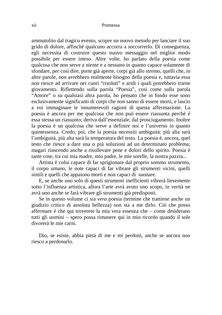#### xii Premessa

ammutolito dal tragico evento, scopre un nuovo metodo per lanciare il suo grido di dolore, affinché qualcuno accorra a soccorrerlo. Di conseguenza, egli necessita di costruire questo nuovo messaggio nel miglior modo possibile per essere inteso. Altre volte, ho parlato della poesia come qualcosa che non serve a niente e a nessuno in quanto capace solamente di sfondare, per così dire, porte già aperte, corpi già allo stremo, quelli che, in altre parole, non avrebbero realmente bisogno della poesia e, tuttavia essa non riesce ad arrivare nei cuori "risoluti" e aridi i quali potrebbero trarne giovamento. Riflettendo sulla parola "Poesia", così come sulla parola "Amore" o su qualsiasi altra parola, ho pensato che in fondo esse sono esclusivamente significanti di corpi che non sanno di essere morti, e lascio a voi immaginare le innumerevoli ragioni di questa affermazione. La poesia è ancora per me qualcosa che non può essere riassunta perché è essa stessa un riassunto; deriva dall'essenziale, dal prosciugamento. Inoltre la poesia è un qualcosa che serve a definire noi e l'universo in quanto quintessenza. Credo, poi, che la poesia necessiti ambiguità: più alta sarà l'ambiguità, più alta sarà la temperatura del testo. La poesia è, ancora, quel testo che riesce a dare una o più soluzioni ad un determinato problema; magari riuscendo anche a risollevare pene e dolori dello spirito. Poesia è tante cose, tra cui mia madre, mio padre, le mie sorelle, la nostra pazzia...

Artista è colui capace di far sprigionare dal proprio sommo strumento, il corpo umano, le note capaci di far vibrare gli strumenti vicini, quelli simili e quelli che appaiono morti e non capaci di suonare.

E, se anche uno solo di questi strumenti inefficienti vibrerà lievemente sotto l'influenza artistica, allora l'arte avrà avuto uno scopo, in verità ne avrà uno anche se farà vibrare gli strumenti già predisposti.

Se in questo volume ci sia *vera* poesia (termine che trattiene anche un giudizio critico di assoluta bellezza) non sta a me dirlo. Ciò che posso affermare è che qui troverete la mia vera essenza che – come desiderano tutti gli uomini – spero possa rimanere qui in mio ricordo quando il sole divorerà le mie carni.

Dio, se esiste, abbia pietà di me e mi perdoni, anche se ancora non riesco a perdonarlo.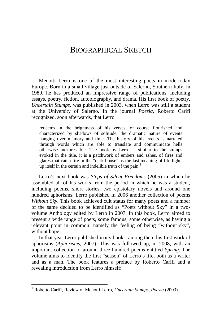## BIOGRAPHICAL SKETCH

Menotti Lerro is one of the most interesting poets in modern-day Europe. Born in a small village just outside of Salerno, Southern Italy, in 1980, he has produced an impressive range of publications, including essays, poetry, fiction, autobiography, and drama. His first book of poetry, *Uncertain Stumps,* was published in 2003, when Lerro was still a student at the University of Salerno. In the journal *Poesia,* Roberto Carifi recognized, soon afterwards, that Lerro

redeems in the brightness of his verses, of course flourished and characterized by shadows of solitude, the dramatic nature of events hanging over memory and time. The history of his events is narrated through words which are able to translate and communicate hells otherwise inexpressible. The book by Lerro is similar to the stumps evoked in the title, it is a patchwork of embers and ashes, of fires and glares that catch fire in the "dark house" as the last meaning of life lights up itself in the certain and indelible truth of the pain. $<sup>1</sup>$ </sup>

Lerro's next book was *Steps of Silent Freedoms* (2005) in which he assembled all of his works from the period in which he was a student, including poems, short stories, two epistolary novels and around one hundred aphorisms. Lerro published in 2006 another collection of poems *Without Sky*. This book achieved cult status for many poets and a number of the same decided to be identified as "Poets without Sky" in a twovolume Anthology edited by Lerro in 2007. In this book, Lerro aimed to present a wide range of poets, some famous, some otherwise, as having a relevant point in common: namely the feeling of being "without sky", without hope.

In that year Lerro published many books, among them his first work of aphorisms (*Aphorisms*, 2007). This was followed up, in 2008, with an important collection of around three hundred poems entitled *Spring*. The volume aims to identify the first "season" of Lerro's life, both as a writer and as a man. The book features a preface by Roberto Carifi and a revealing introduction from Lerro himself:

<sup>1</sup> Roberto Carifi, Review of Menotti Lerro, *Uncertain Stumps*, *Poesia* (2003).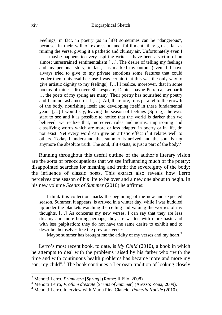Feelings, in fact, in poetry (as in life) sometimes can be "dangerous", because, in their will of expression and fulfillment, they go as far as ruining the verse, giving it a pathetic and clumsy air. Unfortunately even I – as maybe happens to every aspiring writer – have been a victim of an almost unrestrained sentimentalism […]. The desire of telling my feelings and my personal story, in fact, has marked my output (even if I have always tried to give to my private emotions some features that could render them universal because I was certain that this was the only way to give artistic dignity to my feelings). […] I realize, moreover, that in some poems of mine I discover Shakespeare, Dante, maybe Petrarca, Leopardi … the poets of my spring are many. Their poetry has nourished my poetry and I am not ashamed of it […]. Art, therefore, runs parallel to the growth of the body, nourishing itself and developing itself in these fundamental years. […] I would say, leaving the season of feelings [Spring], the eyes start to see and it is possible to notice that the world is darker than we believed; we realize that, moreover, rules and norms, imprisoning and classifying words which are more or less adapted in poetry or in life, do not exist. Yet every word can give an artistic effect if it relates well to others. Today I understand that summer is arrived and the soul is not anymore the absolute truth. The soul, if it exists, is just a part of the body.<sup>2</sup>

Running throughout this useful outline of the author's literary vision are the sorts of preoccupations that we see influencing much of the poetry: disappointed searches for meaning and truth; the sovereignty of the body; the influence of classic poets. This extract also reveals how Lerro perceives one season of his life to be over and a new one about to begin. In his new volume *Scents of Summer* (2010) he affirms:

I think this collection marks the beginning of the new and expected season. Summer, it appears, is arrived in a winter day, while I was huddled up under the blankets watching the ceiling and valuing the worries of my thoughts. […] As concerns my new verses, I can say that they are less dreamy and more boring perhaps; they are written with more haste and with less palpitation; they do not have the same desire to exhibit and to describe themselves like the previous verses.

Maybe summer has brought me the aridity of my verses and my heart. $3$ 

Lerro's most recent book, to date, is *My Child* (2010), a book in which he attempts to deal with the problems raised by his father who "with the time and with continuous health problems has became more and more my son, my child".<sup>4</sup> The book continues a Lerroean tradition of looking closely

<sup>2</sup> Menotti Lerro, *Primavera* [*Spring*] (Rome: Il Filo, 2008).

<sup>3</sup> Menotti Lerro, *Profumi d'estate* [*Scents of Summer*] (Arezzo: Zona, 2009).

<sup>4</sup> Menotti Lerro, Interview with Maria Pina Ciancio, *Pomezia Notizie* (2010).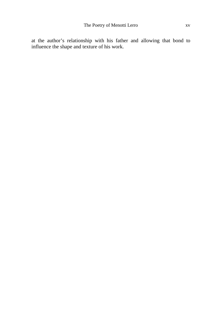at the author's relationship with his father and allowing that bond to influence the shape and texture of his work.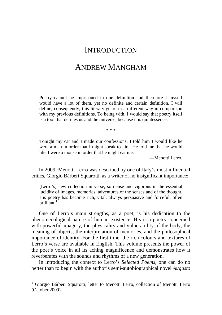### **INTRODUCTION**

#### ANDREW MANGHAM

Poetry cannot be imprisoned in one definition and therefore I myself would have a lot of them, yet no definite and certain definition. I will define, consequently, this literary genre in a different way in comparison with my previous definitions. To being with, I would say that poetry itself is a tool that defines us and the universe, because it is quintessence.

\* \* \*

Tonight my cat and I made our confessions. I told him I would like he were a man in order that I might speak to him. He told me that he would like I were a mouse in order that he might eat me.

—Menotti Lerro.

In 2009, Menotti Lerro was described by one of Italy's most influential critics, Giorgio Bárberi Squarotti, as a writer of no insignificant importance:

[Lerro's] new collection in verse, so dense and vigorous in the essential lucidity of images, memories, adventures of the senses and of the thought. His poetry has become rich, vital, always persuasive and forceful, often  $brilliant<sup>1</sup>$ 

One of Lerro's main strengths, as a poet, is his dedication to the phenomenological nature of human existence. His is a poetry concerned with powerful imagery, the physicality and vulnerability of the body, the meaning of objects, the interpretation of memories, and the philosophical importance of identity. For the first time, the rich colours and textures of Lerro's verse are available in English. This volume presents the power of the poet's voice in all its aching magnificence and demonstrates how it reverberates with the sounds and rhythms of a new generation.

In introducing the context to Lerro's *Selected Poems,* one can do no better than to begin with the author's semi-autobiographical novel *Augusto* 

<sup>&</sup>lt;sup>1</sup> Giorgio Bárberi Squarotti, letter to Menotti Lerro, collection of Menotti Lerro (October 2009).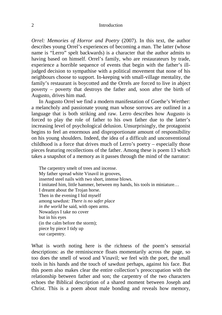#### 2 Introduction

*Orrel: Memories of Horror and Poetry* (2007). In this text, the author describes young Orrel's experiences of becoming a man. The latter (whose name is "Lerro" spelt backwards) is a character that the author admits to having based on himself. Orrel's family, who are restaurateurs by trade, experience a horrible sequence of events that begin with the father's illjudged decision to sympathise with a political movement that none of his neighbours choose to support. In-keeping with small-village mentality, the family's restaurant is boycotted and the Orrels are forced to live in abject poverty – poverty that destroys the father and, soon after the birth of Augusto, drives him mad.

In Augusto Orrel we find a modern manifestation of Goethe's Werther: a melancholy and passionate young man whose sorrows are outlined in a language that is both striking and raw. Lerro describes how Augusto is forced to play the role of father to his own father due to the latter's increasing level of psychological delusion. Unsurprisingly, the protagonist begins to feel an enormous and disproportionate amount of responsibility on his young shoulders. Indeed, the idea of a difficult and unconventional childhood is a force that drives much of Lerro's poetry – especially those pieces featuring recollections of the father. Among these is poem 13 which takes a snapshot of a memory as it passes through the mind of the narrator:

The carpentry smelt of trees and incense. My father spread white Vinavil in grooves, inserted steel nails with two short, intense blows. I imitated him, little hammer, between my hands, his tools in miniature… I dreamt about the Trojan horse. Then in the evening I hid myself among sawdust*: There is no safer place in the world* he said, with open arms. Nowadays I take no cover but in his eyes (in the calm before the storm); piece by piece I tidy up our carpentry.

What is worth noting here is the richness of the poem's sensorial descriptions: as the reminiscence floats momentarily across the page, so too does the smell of wood and Vinavil; we feel with the poet, the small tools in his hands and the touch of sawdust perhaps, against his face. But this poem also makes clear the entire collection's preoccupation with the relationship between father and son; the carpentry of the two characters echoes the Biblical description of a shared moment between Joseph and Christ. This is a poem about male bonding and reveals how memory,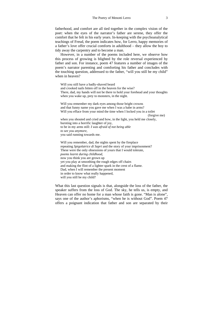fatherhood, and comfort are all tied together in the complex vision of the poet: when the eyes of the narrator's father are serene, they offer the comfort that he felt in his early years. In-keeping with the psychoanalytical teachings of Freud, the poem indicates how, for Lerro, happy memories of a father's love offer crucial comforts in adulthood – they allow the boy to tidy away the carpentry and to become a man.

However, in a number of the poems included here, we observe how this process of growing is blighted by the role reversal experienced by father and son. For instance, poem 47 features a number of images of the poem's narrator parenting and comforting his father and concludes with the touching question, addressed to the father, "will you still be my child" when in heaven?

Will you still have a badly-shaved beard and crooked nails bitten off in the heaven for the wise? There, dad, my hands will not be there to hold your forehead and your thoughts when you wake up, prey to monsters, in the night.

Will you remember my dark eyes among those bright crowns and that funny name you gave me when I was a babe in arms? Will you efface from your mind the time when I locked you in a toilet (forgive me)

when you shouted and cried and how, in the light, you held me closely, bursting into a horrific laughter of joy, to be in my arms still: *I was afraid of not being able to see you anymore,*  you said running towards me.

Will you remember, dad, the nights spent by the fireplace repeating *Spigolatrice di Sapri* and the story of your imprisonment? These were the only obsessions of yours that I would tolerate, *poems learnt during childhood*, now you think you are grown up yet you play at smoothing the rough edges off chairs and making the flint of a lighter spark in the crest of a flame. Dad, when I will remember the present moment in order to know what really happened, will you still be my child?

What this last question signals is that, alongside the loss of the father, the speaker suffers from the loss of God. The sky, he tells us, is empty, and Heaven can offer no home for a man whose faith is gone. "Man is alone", says one of the author's aphorisms, "when he is without God". Poem 47 offers a poignant indication that father and son are separated by their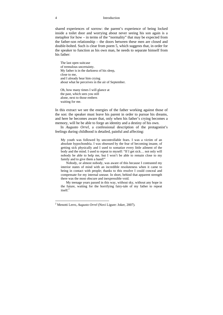4 Introduction

shared experiences of sorrow: the parent's experience of being locked inside a toilet door and worrying about never seeing his son again is a metaphor for how – in terms of the "normality" that may be expected from the father-son relationship – the doors between these men are closed and double-bolted. Such is clear from poem 5, which suggests that, in order for the speaker to function as his own man, he needs to separate himself from his father:

The last open suitcase of tremulous uncertainty. My father is in the darkness of his sleep, close to me, and I already hear him crying about what he perceives in the air of September.

Oh, how many times I will glance at the past, which sees you still alone, next to those embers waiting for me.

In this extract we see the energies of the father working against those of the son: the speaker must leave his parent in order to pursue his dreams, and here he becomes aware that, only when his father's crying becomes a memory, will he be able to forge an identity and a destiny of his own.

In *Augusto Orrel,* a confessional description of the protagonist's feelings during childhood is detailed, painful and affecting:

My youth was followed by uncontrollable fears. I was a victim of an absolute hypochondria. I was obsessed by the fear of becoming insane, of getting sick physically and I used to somatize every little ailment of the body and the mind. I used to repeat to myself: "If I get sick… not only will nobody be able to help me, but I won't be able to remain close to my family and to give them a hand!"

Nobody, or almost nobody, was aware of this because I contrasted my interior states of mind with an incredible resoluteness when it came to being in contact with people; thanks to this resolve I could conceal and compensate for my internal unease. In short, behind that apparent strength there was the most obscure and inexpressible void.

My teenage years passed in this way, without sky, without any hope in the future, waiting for the horrifying fairy-tale of my father to repeat  $itself<sup>2</sup>$ 

 2 Menotti Lerro, *Augusto Orrel* (Novi Ligure: Joker, 2007).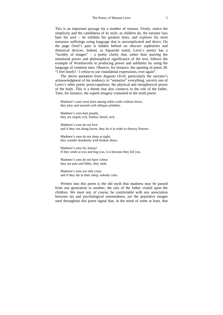This is an important passage for a number of reasons. Firstly, notice the simplicity and the candidness of its style; as children do, the narrator lays bare his soul – he exhibits his greatest fears, and explores his most torturous sufferings using language that is uncomplicated and direct. On the page Orrel's pain is hidden behind no obscure sophistries and rhetorical devices. Indeed, as Squarotti noted, Lerro's poetry has a "lucidity of images" – a poetic clarity that, rather than marring the emotional power and philosophical significance of the text, follows the example of Wordsworth in producing power and sublimity by using the language of common men. Observe, for instance, the opening of poem 28: "I feel lonely! / I refuse to use roundabout expressions, ever again".

The above quotation from *Augusto Orrel*, particularly the narrator's acknowledgment of his tendency to "somatize" everything, unveils one of Lerro's other poetic preoccupations: the physical and metaphorical power of the body. This is a theme that also connects to the role of the father. Take, for instance, the superb imagery contained in the ninth poem:

Madmen's sons were born among white walls without doors, they play and nourish with oblique syllables.

Madmen's sons hate people, they are stupid, evil, listless, bored, sick.

Madmen's sons do not love and if they run along lawns, they do it in order to destroy flowers.

Madmen's sons do not sleep at night, they wander drunkenly with broken shoes.

Madmen's sons lie, betray! If they smile at you and hug you, it is because they kill you.

Madmen's sons do not have colour they are pale and filthy, they stink.

Madmen's sons are only crazy and if they die in their sleep, nobody cries.

Written into this poem is the old myth that madness may be passed from one generation to another; the sins of the father visited upon the children. We must not, of course, be comfortable with any association between sin and psychological unsoundness, yet the pejorative images used throughout this poem signal that, in the mind of some at least, that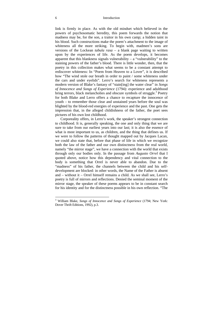#### 6 Introduction

link is firmly in place. As with the old mindset which believed in the powers of psychosomatic heredity, this poem forwards the notion that madness may be, for the son, a traitor in his own camp; a hidden taint in his blood. Such constructions make the poem's attachment to the image of whiteness all the more striking. To begin with, madmen's sons are versions of the Lockean *tabula rasa* – a blank page waiting to written upon by the experiences of life. As the poem develops, it becomes apparent that this blankness signals vulnerability – a "vulnerability" to the staining powers of the father's blood. There is little wonder, then, that the poetry in this collection makes what seems to be a constant attempt to rediscover whiteness: In "Poem from Heaven to a Lover", it is described how "The wind stole our breath in order to paint / some whiteness under the cars and under eyelids". Lerro's search for whiteness represents a modern version of Blake's fantasy of "stain[ing] the water clear" in *Songs of Innocence and Songs of Experience* (1794): experience and adulthood bring terrors, black melancholies and obscure symbols of struggle.<sup>3</sup> Poetry for both Blake and Lerro offers a chance to recapture the innocence of youth – to remember those clear and unstained years before the soul was blighted by the blood-red energies of experience and the past. One gets the impression that, in the alleged childishness of the father, the poet sees pictures of his own lost childhood.

Corporeality offers, in Lerro's work, the speaker's strongest connection to childhood. It is, generally speaking, the one and only thing that we are sure to take from our earliest years into our last; it is also the essence of what is most important to us, as children, and the thing that defines us. If we were to follow the patterns of thought mapped out by Jacques Lacan, we could also state that, before that phase of life in which we recognize both the law of the father and our own distinctness from the real world, namely "the mirror stage", we have a connection with the world that exists through only our bodies only. In the passage from *Augusto Orrel* that I quoted above, notice how this dependency and vital connection to the body is something that Orrel is never able to abandon. Due to the "madness" of his father, the channels between the child and his selfdevelopment are blocked: in other words, the Name of the Father is absent and – without it – Orrel himself remains a child. As we shall see, Lerro's poetry is full of mirrors and reflections. Denied the seminal moment of the mirror stage, the speaker of these poems appears to be in constant search for his identity and for the distinctness possible in his own reflection. "The

 3 William Blake, *Songs of Innocence and Songs of Experience* (1794; New York: Dover Thrift Editions, 1992), p.3.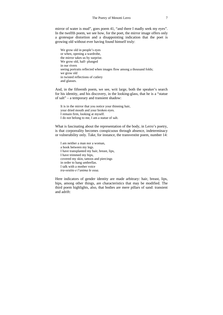mirror of water is mud", goes poem 41, "and there I madly seek my eyes". In the twelfth poem, we see how, for the poet, the mirror image offers only a grotesque distortion and a disappointing indication that the poet is growing old without ever having found himself truly:

We grow old in people's eyes or when, opening a wardrobe, the mirror takes us by surprise. We grow old, half- plunged in our rivers seeing portraits reflected when images flow among a thousand folds; we grow old in twisted reflections of cutlery and glasses.

And, in the fifteenth poem, we see, writ large, both the speaker's search for his identity, and his discovery, in the looking-glass, that he is a "statue of salt" – a temporary and transient shadow:

It is in the mirror that you notice your thinning hair, your dried mouth and your broken eyes. I remain firm, looking at myself. I do not belong to me, I am a statue of salt.

What is fascinating about the representation of the body, in Lerro's poetry, is that corporeality becomes conspicuous through absence, indeterminacy or vulnerability only. Take, for instance, the transvestite poem, number 14:

I am neither a man nor a woman, a hook between my legs. I have transplanted my hair, breast, lips, I have trimmed my hips, covered my skin, tattoos and piercings in order to hang umbrellas. I talk with a mother voice *tra-vestito e l'anima le ossa.* 

Here indicators of gender identity are made arbitrary: hair, breast, lips, hips, among other things, are characteristics that may be modified. The third poem highlights, also, that bodies are mere pillars of sand: transient and adrift: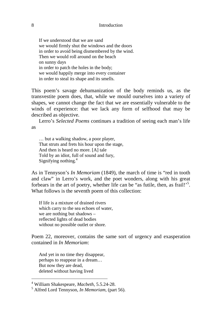#### 8 Introduction

If we understood that we are sand we would firmly shut the windows and the doors in order to avoid being dismembered by the wind. Then we would roll around on the beach on sunny days in order to patch the holes in the body; we would happily merge into every container in order to steal its shape and its smells.

This poem's savage dehumanization of the body reminds us, as the transvestite poem does, that, while we mould ourselves into a variety of shapes, we cannot change the fact that we are essentially vulnerable to the winds of experience: that we lack any form of selfhood that may be described as objective.

Lerro's *Selected Poems* continues a tradition of seeing each man's life as

… but a walking shadow, a poor player, That struts and frets his hour upon the stage, And then is heard no more. [A] tale Told by an idiot, full of sound and fury, Signifying nothing.<sup>4</sup>

As in Tennyson's *In Memoriam* (1849)*,* the march of time is "red in tooth and claw" in Lerro's work, and the poet wonders, along with his great forbears in the art of poetry, whether life can be "as futile, then, as frail!"<sup>5</sup>. What follows is the seventh poem of this collection:

If life is a mixture of drained rivers which carry to the sea echoes of water, we are nothing but shadows – reflected lights of dead bodies without no possible outlet or shore.

Poem 22, moreover, contains the same sort of urgency and exasperation contained in *In Memoriam*:

And yet in no time they disappear, perhaps to reappear in a dream… But now they are dead, deleted without having lived

<sup>4</sup> William Shakespeare, *Macbeth*, 5.5.24-28.

<sup>5</sup> Alfred Lord Tennyson, *In Memoriam*, (part 56).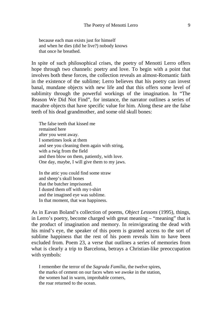because each man exists just for himself and when he dies (did he live?) nobody knows that once he breathed.

In spite of such philosophical crises, the poetry of Menotti Lerro offers hope through two channels: poetry and love. To begin with a point that involves both these forces, the collection reveals an almost-Romantic faith in the existence of the sublime; Lerro believes that his poetry can invest banal, mundane objects with new life and that this offers some level of sublimity through the powerful workings of the imagination. In "The Reason We Did Not Find", for instance, the narrator outlines a series of macabre objects that have specific value for him. Along these are the false teeth of his dead grandmother, and some old skull bones:

The false teeth that kissed me remained here after you went away. I sometimes look at them and see you cleaning them again with string, with a twig from the field and then blow on them, patiently, with love. One day, maybe, I will give them to my jaws.

In the attic you could find some straw and sheep's skull bones that the butcher imprisoned. I dusted them off with my t-shirt and the imagined eye was sublime. In that moment, that was happiness.

As in Eavan Boland's collection of poems, *Object Lessons* (1995), things, in Lerro's poetry, become charged with great meaning – "meaning" that is the product of imagination and memory. In reinvigorating the dead with his mind's eye, the speaker of this poem is granted access to the sort of sublime happiness that the rest of his poem reveals him to have been excluded from. Poem 23, a verse that outlines a series of memories from what is clearly a trip to Barcelona, betrays a Christian-like preoccupation with symbols:

I remember the terror of the *Sagrada Família*, the twelve spires, the marks of cement on our faces when we awoke in the station, the women had in warm, improbable corners, the roar returned to the ocean.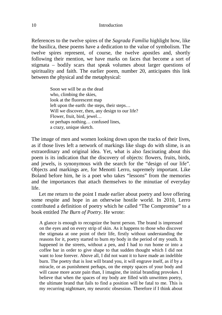References to the twelve spires of the *Sagrada Família* highlight how, like the basilica, these poems have a dedication to the value of symbolism. The twelve spires represent, of course, the twelve apostles and, shortly following their mention, we have marks on faces that become a sort of stigmata – bodily scars that speak volumes about larger questions of spirituality and faith. The earlier poem, number 20, anticipates this link between the physical and the metaphysical:

> Soon we will be as the dead who, climbing the skies, look at the fluorescent map left upon the earth: the steps, their steps… Will we discover, then, any design to our life? Flower, fruit, bird, jewel… or perhaps nothing… confused lines, a crazy, unique sketch.

The image of men and women looking down upon the tracks of their lives, as if those lives left a network of markings like slugs do with slime, is an extraordinary and original idea. Yet, what is also fascinating about this poem is its indication that the discovery of objects: flowers, fruits, birds, and jewels, is synonymous with the search for the "design of our life". Objects and markings are, for Menotti Lerro, supremely important. Like Boland before him, he is a poet who takes "lessons" from the memories and the importances that attach themselves to the minutiae of everyday life.

Let me return to the point I made earlier about poetry and love offering some respite and hope in an otherwise hostile world. In 2010, Lerro contributed a definition of poetry which he called "The Compromise" to a book entitled *The Burn of Poetry*. He wrote:

A glance is enough to recognize the burnt person. The brand is impressed on the eyes and on every strip of skin. As it happens to those who discover the stigmata at one point of their life, firstly without understanding the reasons for it, poetry started to burn *my* body in the period of my youth. It happened in the streets, without a pen, and I had to run home or into a coffee bar in order to give shape to that sudden thought which I did not want to lose forever. Above all, I did not want it to have made an indelible burn. The poetry that is lost will brand you, it will engrave itself, as if by a miracle, or as punishment perhaps, on the empty spaces of your body and will cause more acute pain than, I imagine, the initial branding provokes. I believe that when the spaces of my body are filled with unwritten poetry, the ultimate brand that fails to find a position will be fatal to me. This is my recurring nightmare, my neurotic obsession. Therefore if I think about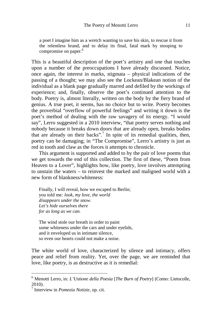a poet I imagine him as a wretch wanting to save his skin, to rescue it from the relentless brand, and to delay its final, fatal mark by stooping to compromise on paper.<sup>6</sup>

This is a beautiful description of the poet's artistry and one that touches upon a number of the preoccupations I have already discussed. Notice, once again, the interest in marks, stigmata – physical indications of the passing of a thought; we may also see the Lockean/Blakean notion of the individual as a blank page gradually marred and defiled by the workings of experience; and, finally, observe the poet's continued attention to the body. Poetry is, almost literally, written on the body by the fiery brand of genius. A true poet, it seems, has no choice but to write. Poetry becomes the proverbial "overflow of powerful feelings" and writing it down is the poet's method of dealing with the raw savagery of its energy. "I would say", Lerro suggested in a 2010 interview, "that poetry serves nothing and nobody because it breaks down doors that are already open, breaks bodies that are already on their backs".<sup>7</sup> In spite of its remedial qualities, then, poetry can be damaging; in "The Compromise", Lerro's artistry is just as red in tooth and claw as the forces it attempts to chronicle.

This argument is supported and added to by the pair of love poems that we get towards the end of this collection. The first of these, "Poem from Heaven to a Lover", highlights how, like poetry, love involves attempting to unstain the waters – to reinvest the marked and maligned world with a new form of blankness/whiteness:

Finally, I will reveal, how we escaped to Berlin; you told me*: look, my love, the world disappears under the snow. Let's hide ourselves there for as long as we can.* 

The wind stole our breath in order to paint some whiteness under the cars and under evelids, and it enveloped us in intimate silence, so even our hearts could not make a noise.

The white world of love, characterized by silence and intimacy, offers peace and relief from reality. Yet, over the page, we are reminded that love, like poetry, is as destructive as it is remedial:

<sup>6</sup> Menotti Lerro, in: *L'Ustione della Poesia* [*The Burn of Poetry*] (Como: Lietocolle, 2010).

<sup>7</sup> Interview in *Pomezia Notizie*, op. cit.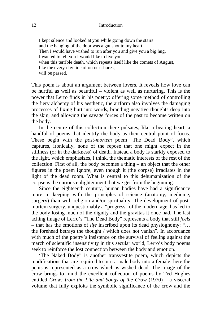#### 12 Introduction

I kept silence and looked at you while going down the stairs and the banging of the door was a gunshot to my heart. Then I would have wished to run after you and give you a big hug, I wanted to tell you I would like to live you when this terrible death, which repeats itself like the comets of August, like the every-day tide of on our shores, will be passed.

This poem is about an argument between lovers. It reveals how love can be hurtful as well as beautiful – violent as well as nurturing. This is the power that Lerro finds in his poetry: offering some method of controlling the fiery alchemy of his aesthetic, the artform also involves the damaging processes of fixing hurt into words, branding negative thoughts deep into the skin, and allowing the savage forces of the past to become written on the body.

In the centre of this collection there pulsates, like a beating heart, a handful of poems that identify the body as their central point of focus. These begin with the *post-mortem* poem "The Dead Body", which captures, ironically, none of the repose that one might expect in the stillness (or in the darkness) of death. Instead a body is starkly exposed to the light, which emphasizes, I think, the thematic interests of the rest of the collection. First of all, the body becomes a thing – an object that the other figures in the poem ignore, even though it (the corpse) irradiates in the light of the dead room. What is central to this dehumanization of the corpse is the curious enlightenment that we get from the beginning.

Since the eighteenth century, human bodies have had a significance more in keeping with the principles of science (anatomy, medicine, surgery) than with religion and/or spirituality. The development of postmortem surgery, unquestionably a "progress" of the modern age, has led to the body losing much of the dignity and the gravitas it once had. The last aching image of Lerro's "The Dead Body" represents a body that still *feels* – that has the emotions of *life* inscribed upon its dead physiognomy: "… the forehead betrays the thought / which does not vanish". In accordance with much of the poetry's insistence on the survival of feeling against the march of scientific insensitivity in this secular world, Lerro's body poems seek to reinforce the lost connection between the body and emotion.

'The Naked Body" is another transvestite poem, which depicts the modifications that are required to turn a male body into a female: here the penis is represented as a crow which is wished dead. The image of the crow brings to mind the excellent collection of poems by Ted Hughes entitled *Crow: from the Life and Songs of the Crow* (1970) – a visceral volume that fully exploits the symbolic significance of the crow and the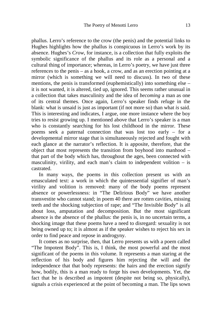phallus. Lerro's reference to the crow (the penis) and the potential links to Hughes highlights how the phallus is conspicuous in Lerro's work by its absence. Hughes's *Crow*, for instance, is a collection that fully exploits the symbolic significance of the phallus and its role as a personal and a cultural thing of importance; whereas, in Lerro's poetry, we have just three references to the penis – as a hook, a crow, and as an erection pointing at a mirror (which is something we will need to discuss). In two of these mentions, the penis is transformed (euphemistically) into something else – it is not wanted, it is altered, tied up, ignored. This seems rather unusual in a collection that takes masculinity and the idea of *becoming* a man as one of its central themes. Once again, Lerro's speaker finds refuge in the blank: what is unsaid is just as important (if not more so) than what *is* said. This is interesting and indicates,  $\overline{I}$  argue, one more instance where the boy tries to resist growing up. I mentioned above that Lerro's speaker is a man who is constantly searching for his lost childhood in the mirror. These poems seek a paternal connection that was lost too early – for a developmental mirror stage that is simultaneously rejected and fought with each glance at the narrator's reflection. It is apposite, therefore, that the object that most represents the transition from boyhood into manhood – that part of the body which has, throughout the ages, been connected with masculinity, virility, and each man's claim to independent volition  $-$  is castrated.

In many ways, the poems in this collection present us with an emasculated text: a work in which the quintessential signifier of man's virility and volition is removed: many of the body poems represent absence or powerlessness: in "The Delirious Body" we have another transvestite who cannot stand; in poem 40 there are rotten cavities, missing teeth and the shocking subjection of rape; and "The Invisible Body" is all about loss, amputation and decomposition. But the most significant absence is the absence of the phallus: the penis is, in no uncertain terms, a shocking image that these poems have a need to disregard: sexuality is not being owned up to; it is almost as if the speaker wishes to reject his sex in order to find peace and repose in androgyny.

It comes as no surprise, then, that Lerro presents us with a poem called "The Impotent Body". This is, I think, the most powerful and the most significant of the poems in this volume. It represents a man staring at the reflection of his body and figures him rejecting the will and the independence that that body represents: the hairs and the erection signify how, bodily, this is a man ready to forge his own developments. Yet, the fact that he is described as impotent (despite not being so, physically), signals a crisis experienced at the point of becoming a man. The lips sown